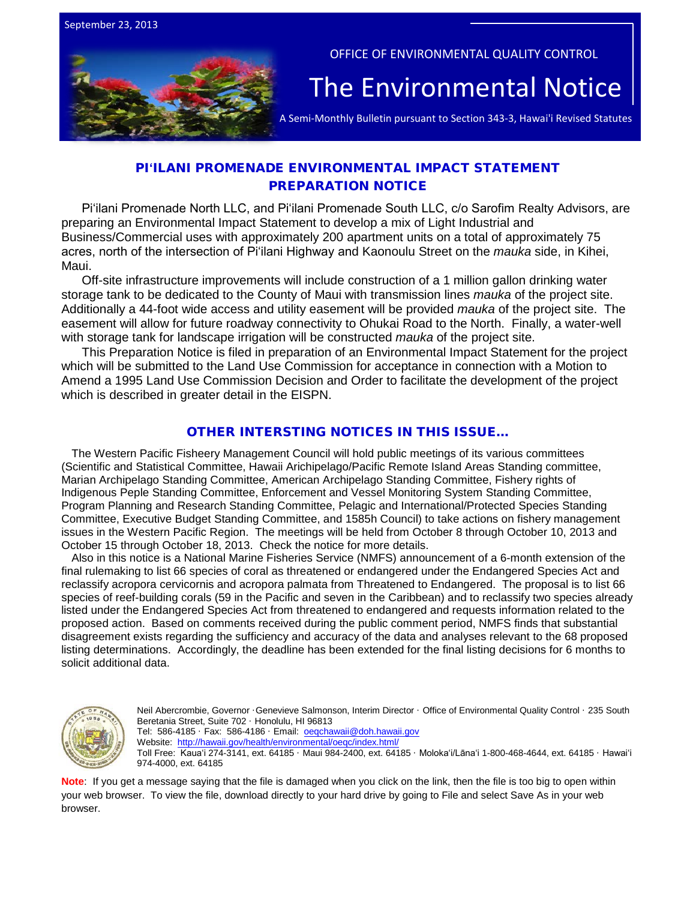

OFFICE OF ENVIRONMENTAL QUALITY CONTROL

# The  $\bar{\mathsf{Environmental} }$  Notice  $|$ <br>A Semi-Monthly Bulletin pursuant to Section 343-3, Hawai'i Revised Statutes

## PI**ʻ**ILANI PROMENADE ENVIRONMENTAL IMPACT STATEMENT PREPARATION NOTICE

Piʻilani Promenade North LLC, and Piʻilani Promenade South LLC, c/o Sarofim Realty Advisors, are preparing an Environmental Impact Statement to develop a mix of Light Industrial and Business/Commercial uses with approximately 200 apartment units on a total of approximately 75 acres, north of the intersection of Piʻilani Highway and Kaonoulu Street on the *mauka* side, in Kihei, Maui.

Off-site infrastructure improvements will include construction of a 1 million gallon drinking water storage tank to be dedicated to the County of Maui with transmission lines *mauka* of the project site. Additionally a 44-foot wide access and utility easement will be provided *mauka* of the project site. The easement will allow for future roadway connectivity to Ohukai Road to the North. Finally, a water-well with storage tank for landscape irrigation will be constructed *mauka* of the project site.

This Preparation Notice is filed in preparation of an Environmental Impact Statement for the project which will be submitted to the Land Use Commission for acceptance in connection with a Motion to Amend a 1995 Land Use Commission Decision and Order to facilitate the development of the project which is described in greater detail in the EISPN.

## OTHER INTERSTING NOTICES IN THIS ISSUE…

The Western Pacific Fisheery Management Council will hold public meetings of its various committees (Scientific and Statistical Committee, Hawaii Arichipelago/Pacific Remote Island Areas Standing committee, Marian Archipelago Standing Committee, American Archipelago Standing Committee, Fishery rights of Indigenous Peple Standing Committee, Enforcement and Vessel Monitoring System Standing Committee, Program Planning and Research Standing Committee, Pelagic and International/Protected Species Standing Committee, Executive Budget Standing Committee, and 1585h Council) to take actions on fishery management issues in the Western Pacific Region. The meetings will be held from October 8 through October 10, 2013 and October 15 through October 18, 2013. Check the notice for more details.

Also in this notice is a National Marine Fisheries Service (NMFS) announcement of a 6-month extension of the final rulemaking to list 66 species of coral as threatened or endangered under the Endangered Species Act and reclassify acropora cervicornis and acropora palmata from Threatened to Endangered. The proposal is to list 66 species of reef-building corals (59 in the Pacific and seven in the Caribbean) and to reclassify two species already listed under the Endangered Species Act from threatened to endangered and requests information related to the proposed action. Based on comments received during the public comment period, NMFS finds that substantial disagreement exists regarding the sufficiency and accuracy of the data and analyses relevant to the 68 proposed listing determinations. Accordingly, the deadline has been extended for the final listing decisions for 6 months to solicit additional data.



Neil Abercrombie, Governor ·Genevieve Salmonson, Interim Director · Office of Environmental Quality Control · 235 South Beretania Street, Suite 702 · Honolulu, HI 96813 Tel: 586-4185 · Fax: 586-4186 · Email: oegchawaii@doh.hawaii.gov

Website:<http://hawaii.gov/health/environmental/oeqc/index.html/>

Toll Free: Kauaʻi 274-3141, ext. 64185 · Maui 984-2400, ext. 64185 · Molokaʻi/Lānaʻi 1-800-468-4644, ext. 64185 · Hawaiʻi 974-4000, ext. 64185

**Note**: If you get a message saying that the file is damaged when you click on the link, then the file is too big to open within your web browser. To view the file, download directly to your hard drive by going to File and select Save As in your web browser.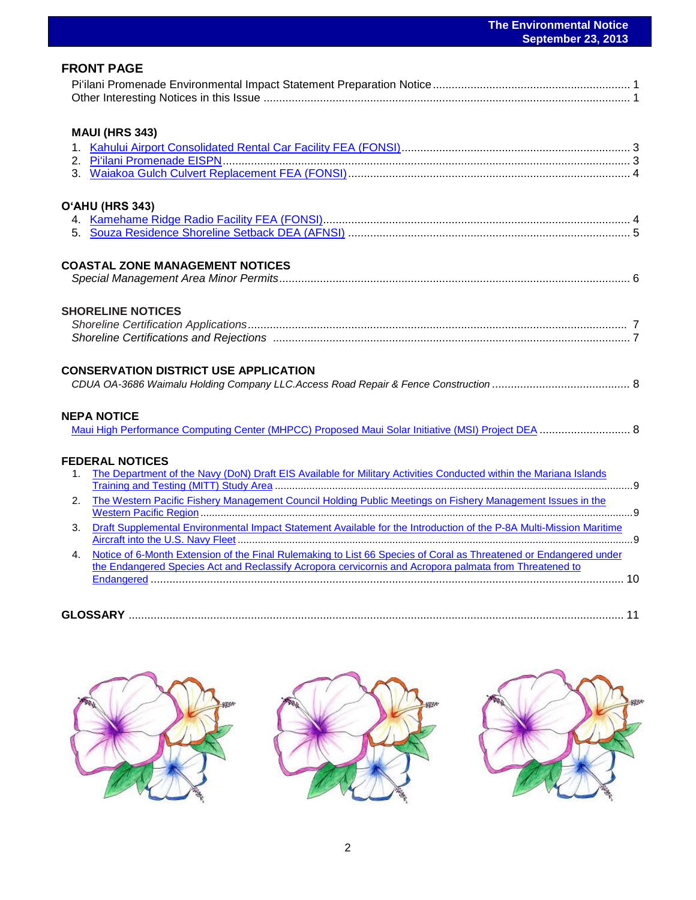|                                                                                                                                                                                                                                   | <b>September 23, 2013</b> |
|-----------------------------------------------------------------------------------------------------------------------------------------------------------------------------------------------------------------------------------|---------------------------|
| <b>FRONT PAGE</b>                                                                                                                                                                                                                 |                           |
| <b>MAUI (HRS 343)</b>                                                                                                                                                                                                             |                           |
| O'AHU (HRS 343)                                                                                                                                                                                                                   |                           |
| <b>COASTAL ZONE MANAGEMENT NOTICES</b>                                                                                                                                                                                            |                           |
| <b>SHORELINE NOTICES</b>                                                                                                                                                                                                          |                           |
| <b>CONSERVATION DISTRICT USE APPLICATION</b>                                                                                                                                                                                      |                           |
| <b>NEPA NOTICE</b><br>Maui High Performance Computing Center (MHPCC) Proposed Maui Solar Initiative (MSI) Project DEA  8                                                                                                          |                           |
| <b>FEDERAL NOTICES</b><br>The Department of the Navy (DoN) Draft EIS Available for Military Activities Conducted within the Mariana Islands<br>$1_{-}$                                                                            |                           |
| The Western Pacific Fishery Management Council Holding Public Meetings on Fishery Management Issues in the<br>2.                                                                                                                  |                           |
| Draft Supplemental Environmental Impact Statement Available for the Introduction of the P-8A Multi-Mission Maritime<br>3.                                                                                                         |                           |
| Notice of 6-Month Extension of the Final Rulemaking to List 66 Species of Coral as Threatened or Endangered under<br>4.<br>the Endangered Species Act and Reclassify Acropora cervicornis and Acropora palmata from Threatened to |                           |

| GLOS |  |
|------|--|

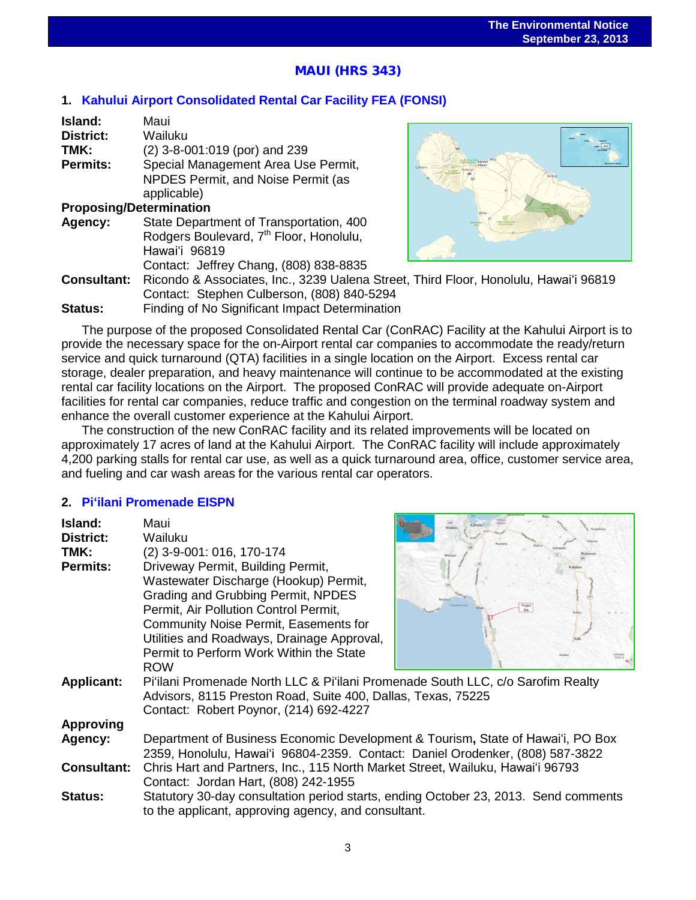# |<br>|<br>' MAUI (HRS 343)

## **1. [Kahului Airport Consolidated Rental Car Facility](http://oeqc.doh.hawaii.gov/Shared%20Documents/EA_and_EIS_Online_Library/Maui/2010s/2013-09-23-MA-5B-FEA-Kahului-Airport-Consolidated-Rental-Car-Facility.pdf) FEA (FONSI)**

| Island:                        | Maui                                                                                 |  |
|--------------------------------|--------------------------------------------------------------------------------------|--|
| <b>District:</b>               | Wailuku                                                                              |  |
| TMK:                           | (2) 3-8-001:019 (por) and 239                                                        |  |
| Permits:                       | Special Management Area Use Permit,                                                  |  |
|                                | NPDES Permit, and Noise Permit (as                                                   |  |
|                                | applicable)                                                                          |  |
| <b>Proposing/Determination</b> |                                                                                      |  |
| Agency:                        | State Department of Transportation, 400                                              |  |
|                                | Rodgers Boulevard, 7 <sup>th</sup> Floor, Honolulu,                                  |  |
|                                | Hawai'i 96819                                                                        |  |
|                                | Contact: Jeffrey Chang, (808) 838-8835                                               |  |
| <b>Consultant:</b>             | Ricondo & Associates, Inc., 3239 Ualena Street, Third Floor, Honolulu, Hawai'i 96819 |  |
|                                | Contact: Stephen Culberson, (808) 840-5294                                           |  |
| <b>Status:</b>                 | Finding of No Significant Impact Determination                                       |  |

The purpose of the proposed Consolidated Rental Car (ConRAC) Facility at the Kahului Airport is to provide the necessary space for the on-Airport rental car companies to accommodate the ready/return service and quick turnaround (QTA) facilities in a single location on the Airport. Excess rental car storage, dealer preparation, and heavy maintenance will continue to be accommodated at the existing rental car facility locations on the Airport. The proposed ConRAC will provide adequate on-Airport facilities for rental car companies, reduce traffic and congestion on the terminal roadway system and enhance the overall customer experience at the Kahului Airport.

The construction of the new ConRAC facility and its related improvements will be located on approximately 17 acres of land at the Kahului Airport. The ConRAC facility will include approximately 4,200 parking stalls for rental car use, as well as a quick turnaround area, office, customer service area, and fueling and car wash areas for the various rental car operators.

## **2. Piʻ[ilani Promenade EISPN](http://oeqc.doh.hawaii.gov/Shared%20Documents/EA_and_EIS_Online_Library/Maui/2010s/2013-09-23-MA-5E-EISPN-Piilani-Promenade.pdf)**

| Island:<br>District:<br>TMK:<br><b>Permits:</b> | Maui<br>Wailuku<br>(2) 3-9-001: 016, 170-174<br>Driveway Permit, Building Permit,<br>Wastewater Discharge (Hookup) Permit,<br>Grading and Grubbing Permit, NPDES<br>Permit, Air Pollution Control Permit,<br>Community Noise Permit, Easements for<br>Utilities and Roadways, Drainage Approval,<br>Permit to Perform Work Within the State<br><b>ROW</b> |  |
|-------------------------------------------------|-----------------------------------------------------------------------------------------------------------------------------------------------------------------------------------------------------------------------------------------------------------------------------------------------------------------------------------------------------------|--|
| <b>Applicant:</b>                               | Pi'ilani Promenade North LLC & Pi'ilani Promenade South LLC, c/o Sarofim Realty<br>Advisors, 8115 Preston Road, Suite 400, Dallas, Texas, 75225<br>Contact: Robert Poynor, (214) 692-4227                                                                                                                                                                 |  |
| <b>Approving</b>                                |                                                                                                                                                                                                                                                                                                                                                           |  |
| Agency:                                         | Department of Business Economic Development & Tourism, State of Hawai'i, PO Box<br>2359, Honolulu, Hawai'i 96804-2359. Contact: Daniel Orodenker, (808) 587-3822                                                                                                                                                                                          |  |
| <b>Consultant:</b>                              | Chris Hart and Partners, Inc., 115 North Market Street, Wailuku, Hawai'i 96793<br>Contact: Jordan Hart, (808) 242-1955                                                                                                                                                                                                                                    |  |
| <b>Status:</b>                                  | Statutory 30-day consultation period starts, ending October 23, 2013. Send comments<br>to the applicant, approving agency, and consultant.                                                                                                                                                                                                                |  |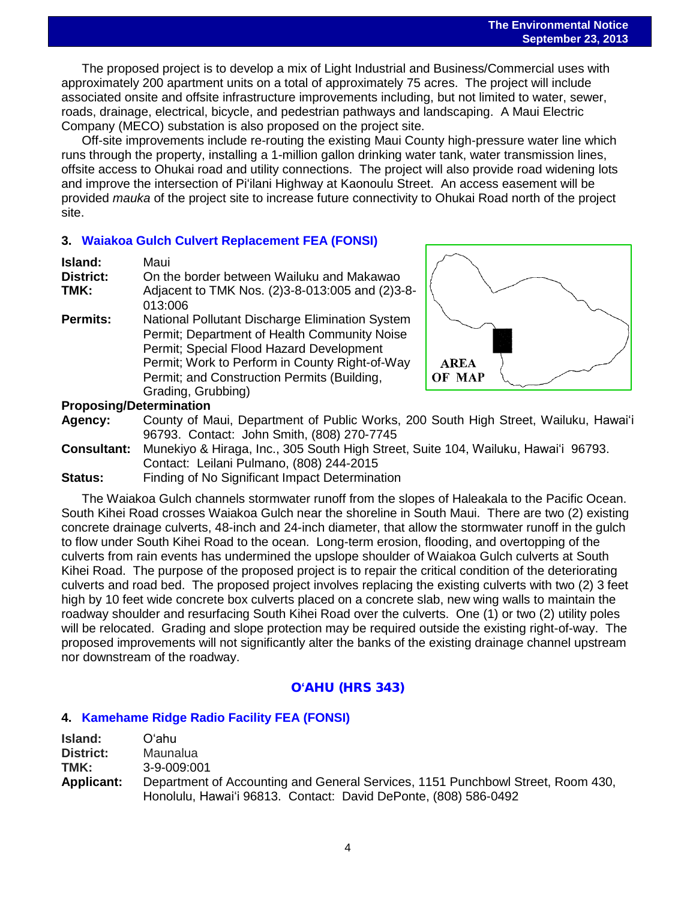The proposed project is to develop a mix of Light Industrial and Business/Commercial uses with approximately 200 apartment units on a total of approximately 75 acres. The project will include associated onsite and offsite infrastructure improvements including, but not limited to water, sewer, roads, drainage, electrical, bicycle, and pedestrian pathways and landscaping. A Maui Electric Company (MECO) substation is also proposed on the project site.

Off-site improvements include re-routing the existing Maui County high-pressure water line which runs through the property, installing a 1-million gallon drinking water tank, water transmission lines, offsite access to Ohukai road and utility connections. The project will also provide road widening lots and improve the intersection of Piʻilani Highway at Kaonoulu Street. An access easement will be provided *mauka* of the project site to increase future connectivity to Ohukai Road north of the project site.

## **3. [Waiakoa Gulch Culvert Replacement FEA \(FONSI\)](http://oeqc.doh.hawaii.gov/Shared%20Documents/EA_and_EIS_Online_Library/Maui/2010s/2013-09-23-MA-5B-FEA-Waiakoa-Gulch-Culvert-Replacement.pdf)**

| Island:          | Maui                                            |
|------------------|-------------------------------------------------|
| <b>District:</b> | On the border between Wailuku and Makawao       |
| TMK:             | Adjacent to TMK Nos. (2)3-8-013:005 and (2)3-8- |
|                  | 013:006                                         |
| <b>Permits:</b>  | National Pollutant Discharge Elimination System |
|                  | Permit; Department of Health Community Noise    |
|                  | Permit; Special Flood Hazard Development        |
|                  | Permit; Work to Perform in County Right-of-Way  |
|                  | Permit; and Construction Permits (Building,     |
|                  | Grading, Grubbing)                              |
|                  |                                                 |



## **Proposing/Determination**

- **Agency:** County of Maui, Department of Public Works, 200 South High Street, Wailuku, Hawaiʻi 96793. Contact: John Smith, (808) 270-7745
- **Consultant:** Munekiyo & Hiraga, Inc., 305 South High Street, Suite 104, Wailuku, Hawaiʻi 96793. Contact: Leilani Pulmano, (808) 244-2015
- **Status:** Finding of No Significant Impact Determination

The Waiakoa Gulch channels stormwater runoff from the slopes of Haleakala to the Pacific Ocean. South Kihei Road crosses Waiakoa Gulch near the shoreline in South Maui. There are two (2) existing concrete drainage culverts, 48-inch and 24-inch diameter, that allow the stormwater runoff in the gulch to flow under South Kihei Road to the ocean. Long-term erosion, flooding, and overtopping of the culverts from rain events has undermined the upslope shoulder of Waiakoa Gulch culverts at South Kihei Road. The purpose of the proposed project is to repair the critical condition of the deteriorating culverts and road bed. The proposed project involves replacing the existing culverts with two (2) 3 feet high by 10 feet wide concrete box culverts placed on a concrete slab, new wing walls to maintain the roadway shoulder and resurfacing South Kihei Road over the culverts. One (1) or two (2) utility poles will be relocated. Grading and slope protection may be required outside the existing right-of-way. The proposed improvements will not significantly alter the banks of the existing drainage channel upstream nor downstream of the roadway.

## O**ʻ**AHU (HRS 343)

## **4. [Kamehame Ridge Radio Facility](http://oeqc.doh.hawaii.gov/Shared%20Documents/EA_and_EIS_Online_Library/Oahu/2010s/l2013-09-23-OA-5B-FEA-Kamehame-Ridge-Radio-Facility.pdf) FEA (FONSI)**

| Island:           | Oʻahu.                                                                          |
|-------------------|---------------------------------------------------------------------------------|
| <b>District:</b>  | Maunalua                                                                        |
| TMK:              | $3-9-009:001$                                                                   |
| <b>Applicant:</b> | Department of Accounting and General Services, 1151 Punchbowl Street, Room 430, |
|                   | Honolulu, Hawai'i 96813. Contact: David DePonte, (808) 586-0492                 |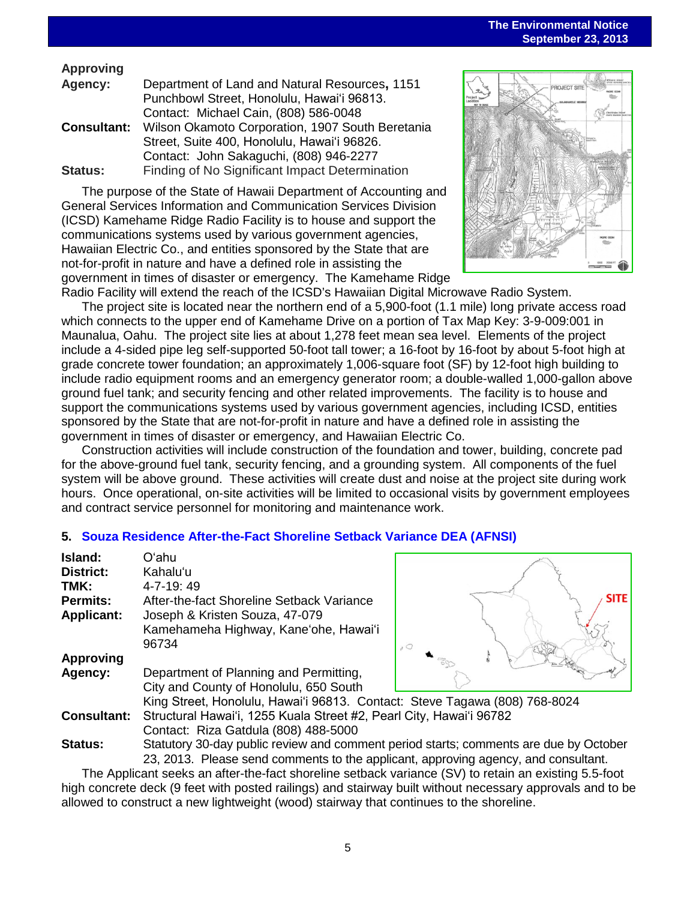## **Approving**

| Agency:            | Department of Land and Natural Resources, 1151   |
|--------------------|--------------------------------------------------|
|                    | Punchbowl Street, Honolulu, Hawai'i 96813.       |
|                    | Contact: Michael Cain, (808) 586-0048            |
| <b>Consultant:</b> | Wilson Okamoto Corporation, 1907 South Beretania |
|                    | Street, Suite 400, Honolulu, Hawai'i 96826.      |
|                    | Contact: John Sakaguchi, (808) 946-2277          |
| <b>Status:</b>     | Finding of No Significant Impact Determination   |

The purpose of the State of Hawaii Department of Accounting and General Services Information and Communication Services Division (ICSD) Kamehame Ridge Radio Facility is to house and support the communications systems used by various government agencies, Hawaiian Electric Co., and entities sponsored by the State that are not-for-profit in nature and have a defined role in assisting the government in times of disaster or emergency. The Kamehame Ridge



Radio Facility will extend the reach of the ICSD's Hawaiian Digital Microwave Radio System. The project site is located near the northern end of a 5,900-foot (1.1 mile) long private access road which connects to the upper end of Kamehame Drive on a portion of Tax Map Key: 3-9-009:001 in Maunalua, Oahu. The project site lies at about 1,278 feet mean sea level. Elements of the project include a 4-sided pipe leg self-supported 50-foot tall tower; a 16-foot by 16-foot by about 5-foot high at grade concrete tower foundation; an approximately 1,006-square foot (SF) by 12-foot high building to include radio equipment rooms and an emergency generator room; a double-walled 1,000-gallon above ground fuel tank; and security fencing and other related improvements. The facility is to house and support the communications systems used by various government agencies, including ICSD, entities sponsored by the State that are not-for-profit in nature and have a defined role in assisting the government in times of disaster or emergency, and Hawaiian Electric Co.

Construction activities will include construction of the foundation and tower, building, concrete pad for the above-ground fuel tank, security fencing, and a grounding system. All components of the fuel system will be above ground. These activities will create dust and noise at the project site during work hours. Once operational, on-site activities will be limited to occasional visits by government employees and contract service personnel for monitoring and maintenance work.

## **5. Souza Residence After-the-Fact [Shoreline Setback](http://oeqc.doh.hawaii.gov/Shared%20Documents/EA_and_EIS_Online_Library/Oahu/2010s/2013-09-23-OA-5E-DEA-Souza-Residence-After-the-Fact-Shoreline-Setback-Variance.pdf) Variance DEA (AFNSI)**

| Island:            | Oʻahu                                                 |                |
|--------------------|-------------------------------------------------------|----------------|
|                    |                                                       |                |
| <b>District:</b>   | Kahalu'u                                              |                |
| TMK:               | 4-7-19:49                                             |                |
| <b>Permits:</b>    | After-the-fact Shoreline Setback Variance             |                |
| <b>Applicant:</b>  | Joseph & Kristen Souza, 47-079                        |                |
|                    | Kamehameha Highway, Kane'ohe, Hawai'i                 |                |
|                    | 96734                                                 | $\overline{Q}$ |
| <b>Approving</b>   |                                                       |                |
| Agency:            | Department of Planning and Permitting,                |                |
|                    | City and County of Honolulu, 650 South                |                |
|                    | King Street, Honolulu, Hawai'i 96813. Contact: Ste    |                |
| <b>Consultant:</b> | Structural Hawai'i, 1255 Kuala Street #2, Pearl City, |                |
|                    | Contact: Riza Gatdula (808) 488-5000                  |                |
| Status:            | Statutory 30-day public review and comment period s   |                |



**Consultant:** Structural Hawaiʻi, 1255 Kuala Street #2, Pearl City, Hawaiʻi 96782 starts; comments are due by October 23, 2013. Please send comments to the applicant, approving agency, and consultant.

The Applicant seeks an after-the-fact shoreline setback variance (SV) to retain an existing 5.5-foot high concrete deck (9 feet with posted railings) and stairway built without necessary approvals and to be allowed to construct a new lightweight (wood) stairway that continues to the shoreline.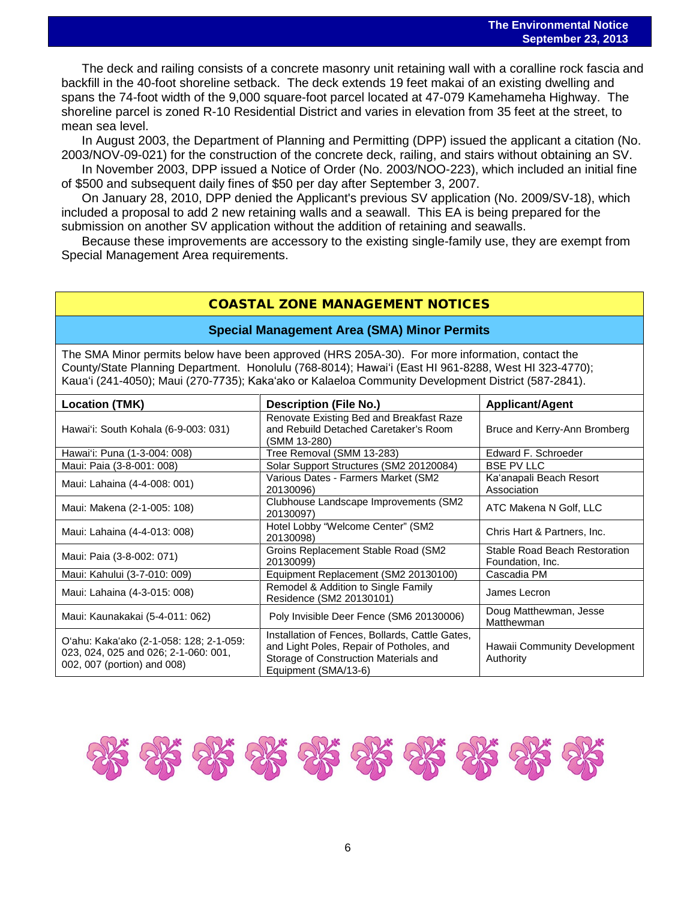The deck and railing consists of a concrete masonry unit retaining wall with a coralline rock fascia and backfill in the 40-foot shoreline setback. The deck extends 19 feet makai of an existing dwelling and spans the 74-foot width of the 9,000 square-foot parcel located at 47-079 Kamehameha Highway. The shoreline parcel is zoned R-10 Residential District and varies in elevation from 35 feet at the street, to mean sea level.

In August 2003, the Department of Planning and Permitting (DPP) issued the applicant a citation (No. 2003/NOV-09-021) for the construction of the concrete deck, railing, and stairs without obtaining an SV.

In November 2003, DPP issued a Notice of Order (No. 2003/NOO-223), which included an initial fine of \$500 and subsequent daily fines of \$50 per day after September 3, 2007.

On January 28, 2010, DPP denied the Applicant's previous SV application (No. 2009/SV-18), which included a proposal to add 2 new retaining walls and a seawall. This EA is being prepared for the submission on another SV application without the addition of retaining and seawalls.

Because these improvements are accessory to the existing single-family use, they are exempt from Special Management Area requirements.

## COASTAL ZONE MANAGEMENT NOTICES

#### **Special Management Area (SMA) Minor Permits**

The SMA Minor permits below have been approved (HRS 205A-30). For more information, contact the County/State Planning Department. Honolulu (768-8014); Hawaiʻi (East HI 961-8288, West HI 323-4770); Kauaʻi (241-4050); Maui (270-7735); Kakaʻako or Kalaeloa Community Development District (587-2841).

| <b>Location (TMK)</b>                                                                                          | <b>Description (File No.)</b>                                                                                                                                | <b>Applicant/Agent</b>                            |  |
|----------------------------------------------------------------------------------------------------------------|--------------------------------------------------------------------------------------------------------------------------------------------------------------|---------------------------------------------------|--|
| Hawai'i: South Kohala (6-9-003: 031)                                                                           | Renovate Existing Bed and Breakfast Raze<br>and Rebuild Detached Caretaker's Room<br>(SMM 13-280)                                                            | Bruce and Kerry-Ann Bromberg                      |  |
| Hawai'i: Puna (1-3-004: 008)                                                                                   | Tree Removal (SMM 13-283)                                                                                                                                    | Edward F. Schroeder                               |  |
| Maui: Paia (3-8-001: 008)                                                                                      | Solar Support Structures (SM2 20120084)                                                                                                                      | <b>BSE PV LLC</b>                                 |  |
| Maui: Lahaina (4-4-008: 001)                                                                                   | Various Dates - Farmers Market (SM2<br>20130096)                                                                                                             | Ka'anapali Beach Resort<br>Association            |  |
| Maui: Makena (2-1-005: 108)                                                                                    | Clubhouse Landscape Improvements (SM2)<br>20130097)                                                                                                          | ATC Makena N Golf, LLC                            |  |
| Maui: Lahaina (4-4-013: 008)                                                                                   | Hotel Lobby "Welcome Center" (SM2<br>20130098)                                                                                                               | Chris Hart & Partners, Inc.                       |  |
| Maui: Paia (3-8-002: 071)                                                                                      | Groins Replacement Stable Road (SM2<br>20130099)                                                                                                             | Stable Road Beach Restoration<br>Foundation, Inc. |  |
| Maui: Kahului (3-7-010: 009)                                                                                   | Equipment Replacement (SM2 20130100)                                                                                                                         | Cascadia PM                                       |  |
| Maui: Lahaina (4-3-015: 008)                                                                                   | Remodel & Addition to Single Family<br>Residence (SM2 20130101)                                                                                              | James Lecron                                      |  |
| Maui: Kaunakakai (5-4-011: 062)                                                                                | Poly Invisible Deer Fence (SM6 20130006)                                                                                                                     | Doug Matthewman, Jesse<br>Matthewman              |  |
| O'ahu: Kaka'ako (2-1-058: 128; 2-1-059:<br>023, 024, 025 and 026; 2-1-060: 001,<br>002, 007 (portion) and 008) | Installation of Fences, Bollards, Cattle Gates,<br>and Light Poles, Repair of Potholes, and<br>Storage of Construction Materials and<br>Equipment (SMA/13-6) | Hawaii Community Development<br>Authority         |  |

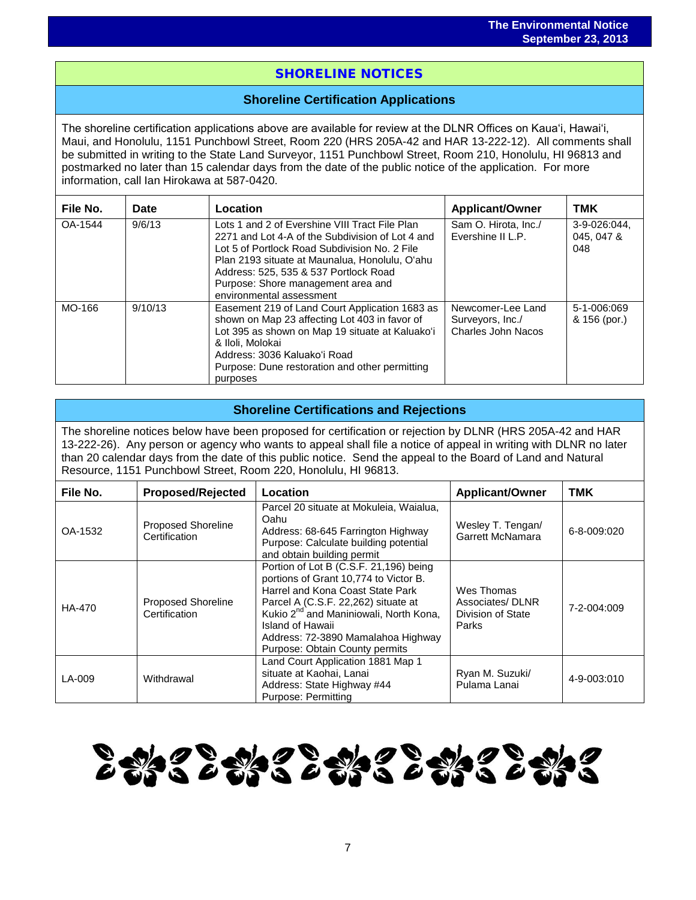# i<br>I SHORELINE NOTICES

## **Shoreline Certification Applications**

The shoreline certification applications above are available for review at the DLNR Offices on Kauaʻi, Hawaiʻi, Maui, and Honolulu, 1151 Punchbowl Street, Room 220 (HRS 205A-42 and HAR 13-222-12). All comments shall be submitted in writing to the State Land Surveyor, 1151 Punchbowl Street, Room 210, Honolulu, HI 96813 and postmarked no later than 15 calendar days from the date of the public notice of the application. For more information, call Ian Hirokawa at 587-0420.

| File No. | Date    | Location                                                                                                                                                                                                                                                                                                         | <b>Applicant/Owner</b>                                      | <b>TMK</b>                        |
|----------|---------|------------------------------------------------------------------------------------------------------------------------------------------------------------------------------------------------------------------------------------------------------------------------------------------------------------------|-------------------------------------------------------------|-----------------------------------|
| OA-1544  | 9/6/13  | Lots 1 and 2 of Evershine VIII Tract File Plan<br>2271 and Lot 4-A of the Subdivision of Lot 4 and<br>Lot 5 of Portlock Road Subdivision No. 2 File<br>Plan 2193 situate at Maunalua, Honolulu, O'ahu<br>Address: 525, 535 & 537 Portlock Road<br>Purpose: Shore management area and<br>environmental assessment | Sam O. Hirota, Inc./<br>Evershine II L.P.                   | 3-9-026:044,<br>045, 047 &<br>048 |
| MO-166   | 9/10/13 | Easement 219 of Land Court Application 1683 as<br>shown on Map 23 affecting Lot 403 in favor of<br>Lot 395 as shown on Map 19 situate at Kaluako'i<br>& Iloli, Molokai<br>Address: 3036 Kaluako'i Road<br>Purpose: Dune restoration and other permitting<br>purposes                                             | Newcomer-Lee Land<br>Surveyors, Inc./<br>Charles John Nacos | 5-1-006:069<br>& 156 (por.)       |

## **Shoreline Certifications and Rejections**

The shoreline notices below have been proposed for certification or rejection by DLNR (HRS 205A-42 and HAR 13-222-26). Any person or agency who wants to appeal shall file a notice of appeal in writing with DLNR no later than 20 calendar days from the date of this public notice. Send the appeal to the Board of Land and Natural Resource, 1151 Punchbowl Street, Room 220, Honolulu, HI 96813.

| File No. | <b>Proposed/Rejected</b>                   | Location                                                                                                                                                                                                                                                                                                     | <b>Applicant/Owner</b>                                      | <b>TMK</b>  |
|----------|--------------------------------------------|--------------------------------------------------------------------------------------------------------------------------------------------------------------------------------------------------------------------------------------------------------------------------------------------------------------|-------------------------------------------------------------|-------------|
| OA-1532  | Proposed Shoreline<br>Certification        | Parcel 20 situate at Mokuleia, Waialua,<br>Oahu<br>Address: 68-645 Farrington Highway<br>Purpose: Calculate building potential<br>and obtain building permit                                                                                                                                                 | Wesley T. Tengan/<br>Garrett McNamara                       | 6-8-009:020 |
| HA-470   | <b>Proposed Shoreline</b><br>Certification | Portion of Lot B (C.S.F. 21,196) being<br>portions of Grant 10,774 to Victor B.<br>Harrel and Kona Coast State Park<br>Parcel A (C.S.F. 22,262) situate at<br>Kukio 2 <sup>nd</sup> and Maniniowali, North Kona,<br>Island of Hawaii<br>Address: 72-3890 Mamalahoa Highway<br>Purpose: Obtain County permits | Wes Thomas<br>Associates/DLNR<br>Division of State<br>Parks | 7-2-004:009 |
| LA-009   | Withdrawal                                 | Land Court Application 1881 Map 1<br>situate at Kaohai, Lanai<br>Address: State Highway #44<br>Purpose: Permitting                                                                                                                                                                                           | Ryan M. Suzuki/<br>Pulama Lanai                             | 4-9-003:010 |

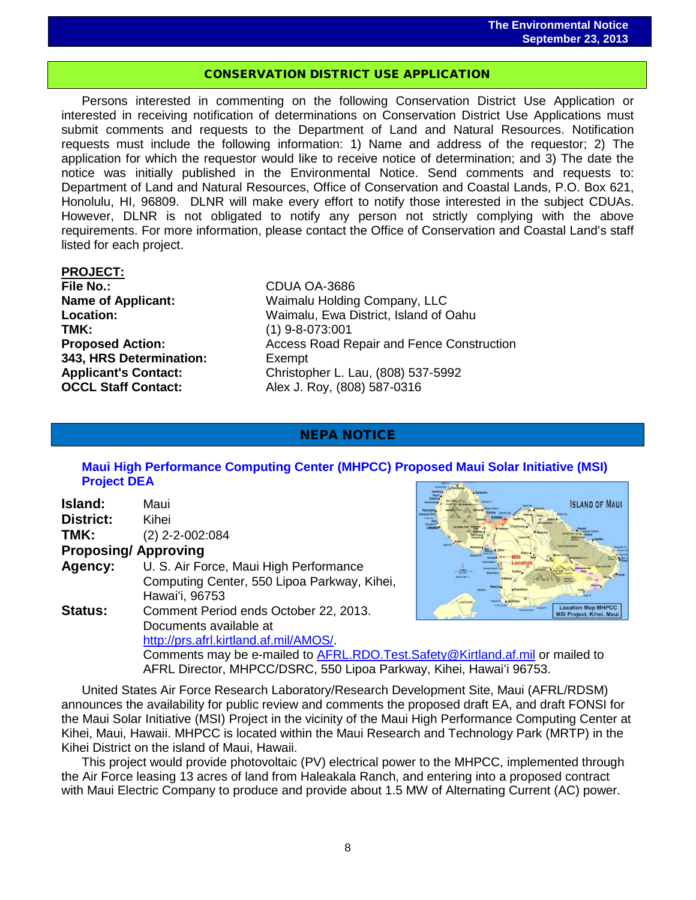# CONSERVATION DISTRICT USE APPLICATION

Persons interested in commenting on the following Conservation District Use Application or interested in receiving notification of determinations on Conservation District Use Applications must submit comments and requests to the Department of Land and Natural Resources. Notification requests must include the following information: 1) Name and address of the requestor; 2) The application for which the requestor would like to receive notice of determination; and 3) The date the notice was initially published in the Environmental Notice. Send comments and requests to: Department of Land and Natural Resources, Office of Conservation and Coastal Lands, P.O. Box 621, Honolulu, HI, 96809. DLNR will make every effort to notify those interested in the subject CDUAs. However, DLNR is not obligated to notify any person not strictly complying with the above requirements. For more information, please contact the Office of Conservation and Coastal Land's staff listed for each project.

# **PROJECT:**

**TMK:** (1) 9-8-073:001<br>**Proposed Action:** (a) Access Road Recording the Access Road Recording to Access Road Recording to Access Road Re **343, HRS Determination:** Exempt

**File No.:** CDUA OA-3686 **Name of Applicant:** Waimalu Holding Company, LLC **Location:** Waimalu, Ewa District, Island of Oahu Access Road Repair and Fence Construction Applicant's Contact:<br>
OCCL Staff Contact:<br>
Christopher L. Lau, (808) 587-0316 **OCCL Staff Contact:** Alex J. Roy, (808) 587-0316

## NEPA NOTICE

## **[Maui High Performance Computing Center \(MHPCC\) Proposed Maui Solar Initiative \(MSI\)](http://oeqc.doh.hawaii.gov/Shared%20Documents/EA_and_EIS_Online_Library/NEPA%20and%20Other%20Documents/2013-09-23-NEPA-MA-Maui-Solar-Initiative-Project.pdf)  [Project](http://oeqc.doh.hawaii.gov/Shared%20Documents/EA_and_EIS_Online_Library/NEPA%20and%20Other%20Documents/2013-09-23-NEPA-MA-Maui-Solar-Initiative-Project.pdf) DEA**

| Island:        | Maui                                        |
|----------------|---------------------------------------------|
| District:      | Kihei                                       |
| TMK:           | $(2)$ 2-2-002:084                           |
|                | <b>Proposing/Approving</b>                  |
| Agency:        | U. S. Air Force, Maui High Performance      |
|                | Computing Center, 550 Lipoa Parkway, Kihei, |
|                | Hawai'i, 96753                              |
| <b>Status:</b> | Comment Period ends October 22, 2013.       |
|                | Documents available at                      |
|                | http://prs.afrl.kirtland.af.mil/AMOS/.      |
|                | Comments may be e-mailed to AFRL.RDO.Test.S |
|                | AFRL Director, MHPCC/DSRC, 550 Lipoa Parkwa |



Gofety@Kirtland.af.mil or mailed to ay, Kihei, Hawaiʻi 96753.

United States Air Force Research Laboratory/Research Development Site, Maui (AFRL/RDSM) announces the availability for public review and comments the proposed draft EA, and draft FONSI for the Maui Solar Initiative (MSI) Project in the vicinity of the Maui High Performance Computing Center at Kihei, Maui, Hawaii. MHPCC is located within the Maui Research and Technology Park (MRTP) in the Kihei District on the island of Maui, Hawaii.

This project would provide photovoltaic (PV) electrical power to the MHPCC, implemented through the Air Force leasing 13 acres of land from Haleakala Ranch, and entering into a proposed contract with Maui Electric Company to produce and provide about 1.5 MW of Alternating Current (AC) power.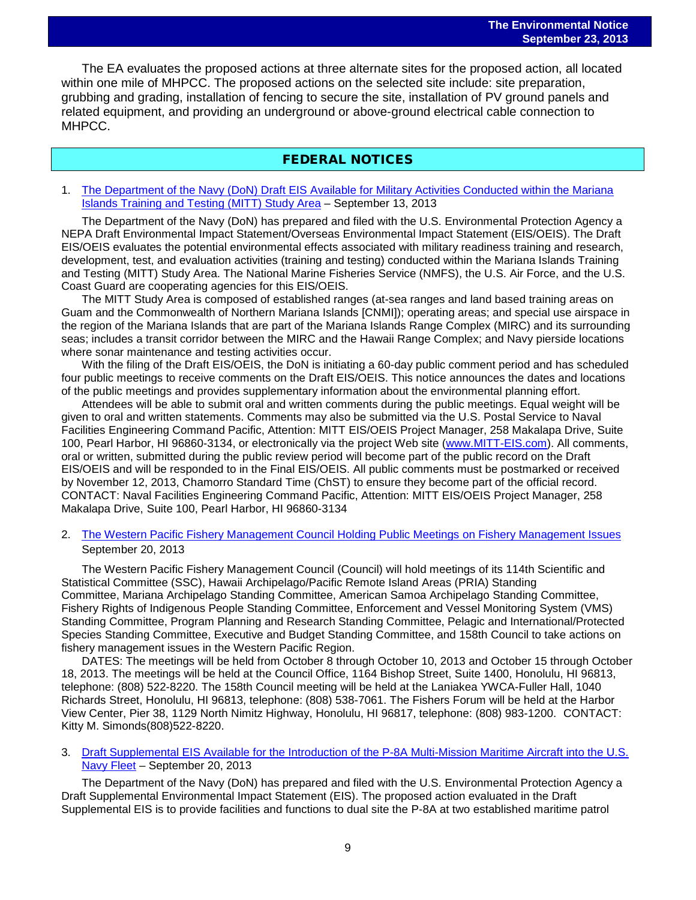The EA evaluates the proposed actions at three alternate sites for the proposed action, all located within one mile of MHPCC. The proposed actions on the selected site include: site preparation, grubbing and grading, installation of fencing to secure the site, installation of PV ground panels and related equipment, and providing an underground or above-ground electrical cable connection to MHPCC.

## FEDERAL NOTICES

1. [The Department of the Navy \(DoN\) Draft EIS Available for Military Activities Conducted within the Mariana](http://www.gpo.gov/fdsys/pkg/FR-2013-09-13/pdf/2013-22296.pdf)  [Islands Training and Testing \(MITT\) Study Area](http://www.gpo.gov/fdsys/pkg/FR-2013-09-13/pdf/2013-22296.pdf) – September 13, 2013

The Department of the Navy (DoN) has prepared and filed with the U.S. Environmental Protection Agency a NEPA Draft Environmental Impact Statement/Overseas Environmental Impact Statement (EIS/OEIS). The Draft EIS/OEIS evaluates the potential environmental effects associated with military readiness training and research, development, test, and evaluation activities (training and testing) conducted within the Mariana Islands Training and Testing (MITT) Study Area. The National Marine Fisheries Service (NMFS), the U.S. Air Force, and the U.S. Coast Guard are cooperating agencies for this EIS/OEIS.

The MITT Study Area is composed of established ranges (at-sea ranges and land based training areas on Guam and the Commonwealth of Northern Mariana Islands [CNMI]); operating areas; and special use airspace in the region of the Mariana Islands that are part of the Mariana Islands Range Complex (MIRC) and its surrounding seas; includes a transit corridor between the MIRC and the Hawaii Range Complex; and Navy pierside locations where sonar maintenance and testing activities occur.

With the filing of the Draft EIS/OEIS, the DoN is initiating a 60-day public comment period and has scheduled four public meetings to receive comments on the Draft EIS/OEIS. This notice announces the dates and locations of the public meetings and provides supplementary information about the environmental planning effort.

Attendees will be able to submit oral and written comments during the public meetings. Equal weight will be given to oral and written statements. Comments may also be submitted via the U.S. Postal Service to Naval Facilities Engineering Command Pacific, Attention: MITT EIS/OEIS Project Manager, 258 Makalapa Drive, Suite 100, Pearl Harbor, HI 96860-3134, or electronically via the project Web site [\(www.MITT-EIS.com\)](http://www.mitt-eis.com/). All comments, oral or written, submitted during the public review period will become part of the public record on the Draft EIS/OEIS and will be responded to in the Final EIS/OEIS. All public comments must be postmarked or received by November 12, 2013, Chamorro Standard Time (ChST) to ensure they become part of the official record. CONTACT: Naval Facilities Engineering Command Pacific, Attention: MITT EIS/OEIS Project Manager, 258 Makalapa Drive, Suite 100, Pearl Harbor, HI 96860-3134

2. [The Western Pacific Fishery Management Council Holding Public Meetings on Fishery Management Issues](http://www.gpo.gov/fdsys/pkg/FR-2013-09-20/pdf/2013-22932.pdf)  September 20, 2013

The Western Pacific Fishery Management Council (Council) will hold meetings of its 114th Scientific and Statistical Committee (SSC), Hawaii Archipelago/Pacific Remote Island Areas (PRIA) Standing Committee, Mariana Archipelago Standing Committee, American Samoa Archipelago Standing Committee, Fishery Rights of Indigenous People Standing Committee, Enforcement and Vessel Monitoring System (VMS) Standing Committee, Program Planning and Research Standing Committee, Pelagic and International/Protected Species Standing Committee, Executive and Budget Standing Committee, and 158th Council to take actions on fishery management issues in the Western Pacific Region.

DATES: The meetings will be held from October 8 through October 10, 2013 and October 15 through October 18, 2013. The meetings will be held at the Council Office, 1164 Bishop Street, Suite 1400, Honolulu, HI 96813, telephone: (808) 522-8220. The 158th Council meeting will be held at the Laniakea YWCA-Fuller Hall, 1040 Richards Street, Honolulu, HI 96813, telephone: (808) 538-7061. The Fishers Forum will be held at the Harbor View Center, Pier 38, 1129 North Nimitz Highway, Honolulu, HI 96817, telephone: (808) 983-1200. CONTACT: Kitty M. Simonds(808)522-8220.

3. Draft Supplemental EIS [Available for the Introduction of the P-8A Multi-Mission Maritime Aircraft into the U.S.](http://www.gpo.gov/fdsys/pkg/FR-2013-09-20/pdf/2013-22899.pdf)  [Navy Fleet](http://www.gpo.gov/fdsys/pkg/FR-2013-09-20/pdf/2013-22899.pdf) – September 20, 2013

The Department of the Navy (DoN) has prepared and filed with the U.S. Environmental Protection Agency a Draft Supplemental Environmental Impact Statement (EIS). The proposed action evaluated in the Draft Supplemental EIS is to provide facilities and functions to dual site the P-8A at two established maritime patrol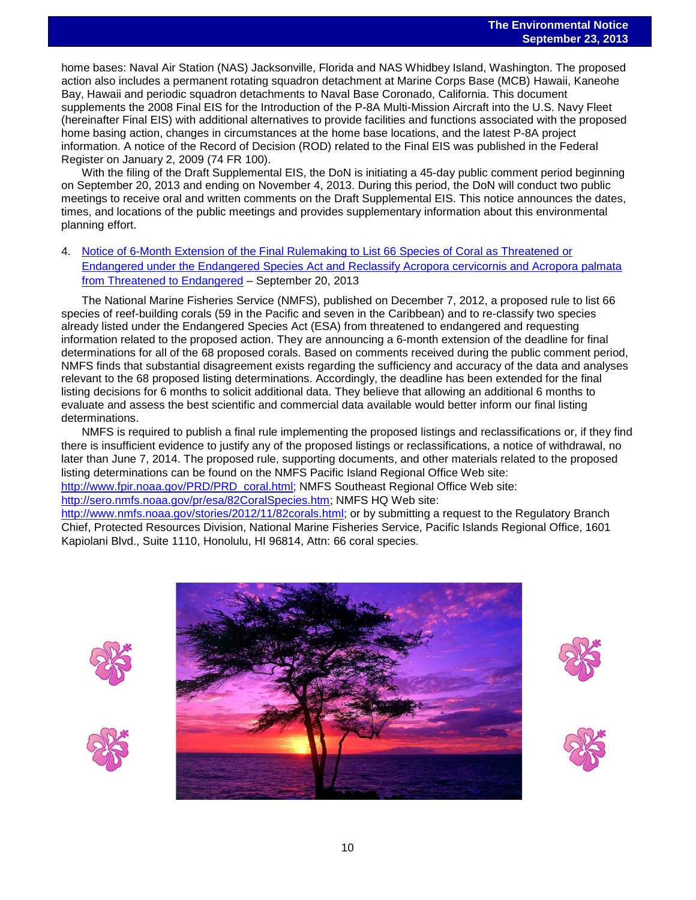home bases: Naval Air Station (NAS) Jacksonville, Florida and NAS Whidbey Island, Washington. The proposed action also includes a permanent rotating squadron detachment at Marine Corps Base (MCB) Hawaii, Kaneohe Bay, Hawaii and periodic squadron detachments to Naval Base Coronado, California. This document supplements the 2008 Final EIS for the Introduction of the P-8A Multi-Mission Aircraft into the U.S. Navy Fleet (hereinafter Final EIS) with additional alternatives to provide facilities and functions associated with the proposed home basing action, changes in circumstances at the home base locations, and the latest P-8A project information. A notice of the Record of Decision (ROD) related to the Final EIS was published in the Federal Register on January 2, 2009 (74 FR 100).

With the filing of the Draft Supplemental EIS, the DoN is initiating a 45-day public comment period beginning on September 20, 2013 and ending on November 4, 2013. During this period, the DoN will conduct two public meetings to receive oral and written comments on the Draft Supplemental EIS. This notice announces the dates, times, and locations of the public meetings and provides supplementary information about this environmental planning effort.

4. [Notice of 6-Month Extension of the Final Rulemaking to List 66 Species of Coral as Threatened or](http://www.gpo.gov/fdsys/pkg/FR-2013-09-20/pdf/2013-22944.pdf)  [Endangered under the Endangered Species Act and Reclassify Acropora cervicornis and Acropora palmata](http://www.gpo.gov/fdsys/pkg/FR-2013-09-20/pdf/2013-22944.pdf)  [from Threatened to Endangered](http://www.gpo.gov/fdsys/pkg/FR-2013-09-20/pdf/2013-22944.pdf) – September 20, 2013

The National Marine Fisheries Service (NMFS), published on December 7, 2012, a proposed rule to list 66 species of reef-building corals (59 in the Pacific and seven in the Caribbean) and to re-classify two species already listed under the Endangered Species Act (ESA) from threatened to endangered and requesting information related to the proposed action. They are announcing a 6-month extension of the deadline for final determinations for all of the 68 proposed corals. Based on comments received during the public comment period, NMFS finds that substantial disagreement exists regarding the sufficiency and accuracy of the data and analyses relevant to the 68 proposed listing determinations. Accordingly, the deadline has been extended for the final listing decisions for 6 months to solicit additional data. They believe that allowing an additional 6 months to evaluate and assess the best scientific and commercial data available would better inform our final listing determinations.

NMFS is required to publish a final rule implementing the proposed listings and reclassifications or, if they find there is insufficient evidence to justify any of the proposed listings or reclassifications, a notice of withdrawal, no later than June 7, 2014. The proposed rule, supporting documents, and other materials related to the proposed listing determinations can be found on the NMFS Pacific Island Regional Office Web site:

[http://www.fpir.noaa.gov/PRD/PRD\\_coral.html;](http://www.fpir.noaa.gov/PRD/PRD_coral.html) NMFS Southeast Regional Office Web site:

[http://sero.nmfs.noaa.gov/pr/esa/82CoralSpecies.htm;](http://sero.nmfs.noaa.gov/pr/esa/82CoralSpecies.htm) NMFS HQ Web site:

[http://www.nmfs.noaa.gov/stories/2012/11/82corals.html;](http://www.nmfs.noaa.gov/stories/2012/11/82corals.html) or by submitting a request to the Regulatory Branch Chief, Protected Resources Division, National Marine Fisheries Service, Pacific Islands Regional Office, 1601 Kapiolani Blvd., Suite 1110, Honolulu, HI 96814, Attn: 66 coral species.